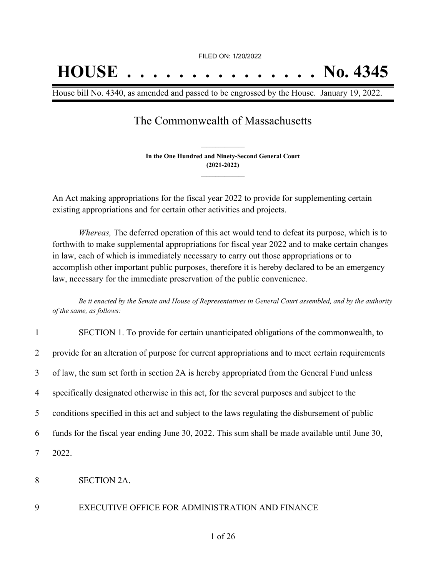# **HOUSE . . . . . . . . . . . . . . . No. 4345**

House bill No. 4340, as amended and passed to be engrossed by the House. January 19, 2022.

## The Commonwealth of Massachusetts

**In the One Hundred and Ninety-Second General Court (2021-2022) \_\_\_\_\_\_\_\_\_\_\_\_\_\_\_**

**\_\_\_\_\_\_\_\_\_\_\_\_\_\_\_**

An Act making appropriations for the fiscal year 2022 to provide for supplementing certain existing appropriations and for certain other activities and projects.

*Whereas,* The deferred operation of this act would tend to defeat its purpose, which is to forthwith to make supplemental appropriations for fiscal year 2022 and to make certain changes in law, each of which is immediately necessary to carry out those appropriations or to accomplish other important public purposes, therefore it is hereby declared to be an emergency law, necessary for the immediate preservation of the public convenience.

Be it enacted by the Senate and House of Representatives in General Court assembled, and by the authority *of the same, as follows:*

| $\mathbf{1}$    | SECTION 1. To provide for certain unanticipated obligations of the commonwealth, to              |
|-----------------|--------------------------------------------------------------------------------------------------|
| $\overline{2}$  | provide for an alteration of purpose for current appropriations and to meet certain requirements |
| 3               | of law, the sum set forth in section 2A is hereby appropriated from the General Fund unless      |
| $\overline{4}$  | specifically designated otherwise in this act, for the several purposes and subject to the       |
| $5\overline{)}$ | conditions specified in this act and subject to the laws regulating the disbursement of public   |
| 6               | funds for the fiscal year ending June 30, 2022. This sum shall be made available until June 30,  |
| $\tau$          | 2022.                                                                                            |
| 8               | <b>SECTION 2A.</b>                                                                               |

#### 9 EXECUTIVE OFFICE FOR ADMINISTRATION AND FINANCE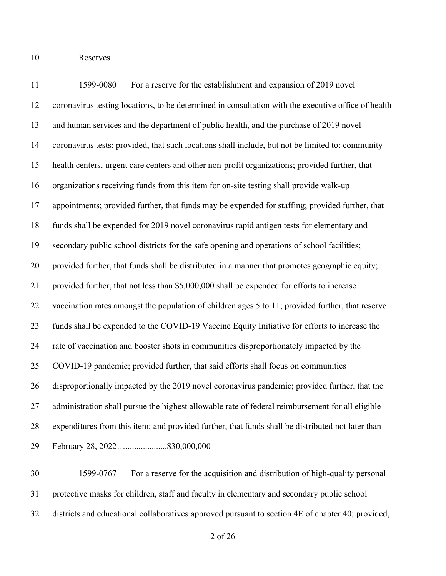Reserves

 1599-0080 For a reserve for the establishment and expansion of 2019 novel coronavirus testing locations, to be determined in consultation with the executive office of health and human services and the department of public health, and the purchase of 2019 novel coronavirus tests; provided, that such locations shall include, but not be limited to: community health centers, urgent care centers and other non-profit organizations; provided further, that organizations receiving funds from this item for on-site testing shall provide walk-up appointments; provided further, that funds may be expended for staffing; provided further, that funds shall be expended for 2019 novel coronavirus rapid antigen tests for elementary and secondary public school districts for the safe opening and operations of school facilities; provided further, that funds shall be distributed in a manner that promotes geographic equity; provided further, that not less than \$5,000,000 shall be expended for efforts to increase vaccination rates amongst the population of children ages 5 to 11; provided further, that reserve funds shall be expended to the COVID-19 Vaccine Equity Initiative for efforts to increase the rate of vaccination and booster shots in communities disproportionately impacted by the COVID-19 pandemic; provided further, that said efforts shall focus on communities disproportionally impacted by the 2019 novel coronavirus pandemic; provided further, that the administration shall pursue the highest allowable rate of federal reimbursement for all eligible expenditures from this item; and provided further, that funds shall be distributed not later than February 28, 2022…...................\$30,000,000

 1599-0767 For a reserve for the acquisition and distribution of high-quality personal protective masks for children, staff and faculty in elementary and secondary public school districts and educational collaboratives approved pursuant to section 4E of chapter 40; provided,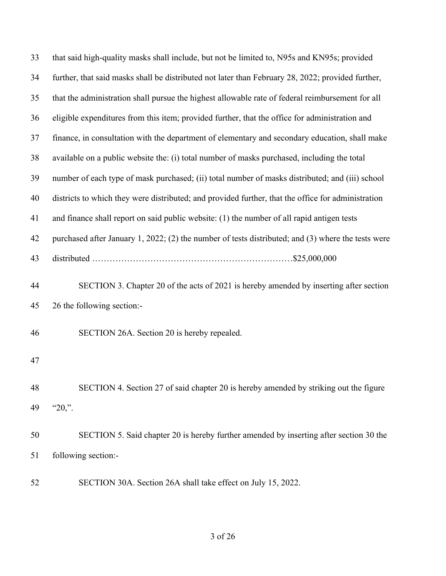| 33 | that said high-quality masks shall include, but not be limited to, N95s and KN95s; provided        |
|----|----------------------------------------------------------------------------------------------------|
| 34 | further, that said masks shall be distributed not later than February 28, 2022; provided further,  |
| 35 | that the administration shall pursue the highest allowable rate of federal reimbursement for all   |
| 36 | eligible expenditures from this item; provided further, that the office for administration and     |
| 37 | finance, in consultation with the department of elementary and secondary education, shall make     |
| 38 | available on a public website the: (i) total number of masks purchased, including the total        |
| 39 | number of each type of mask purchased; (ii) total number of masks distributed; and (iii) school    |
| 40 | districts to which they were distributed; and provided further, that the office for administration |
| 41 | and finance shall report on said public website: (1) the number of all rapid antigen tests         |
| 42 | purchased after January 1, 2022; (2) the number of tests distributed; and (3) where the tests were |
| 43 |                                                                                                    |
| 44 | SECTION 3. Chapter 20 of the acts of 2021 is hereby amended by inserting after section             |
| 45 | 26 the following section:-                                                                         |
| 46 | SECTION 26A. Section 20 is hereby repealed.                                                        |
| 47 |                                                                                                    |
| 48 | SECTION 4. Section 27 of said chapter 20 is hereby amended by striking out the figure              |
| 49 | " $20$ ,".                                                                                         |
| 50 | SECTION 5. Said chapter 20 is hereby further amended by inserting after section 30 the             |
| 51 | following section:-                                                                                |
| 52 | SECTION 30A. Section 26A shall take effect on July 15, 2022.                                       |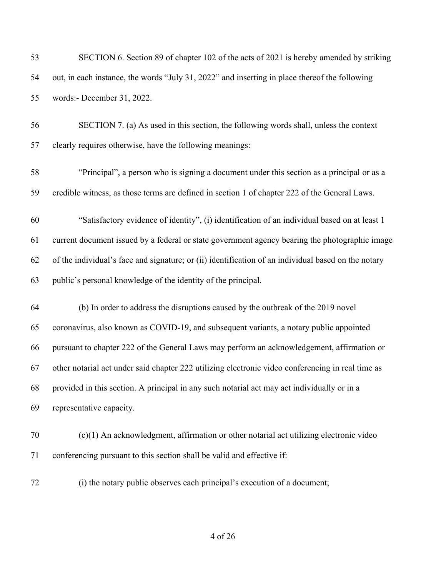| 53 | SECTION 6. Section 89 of chapter 102 of the acts of 2021 is hereby amended by striking              |
|----|-----------------------------------------------------------------------------------------------------|
| 54 | out, in each instance, the words "July 31, 2022" and inserting in place thereof the following       |
| 55 | words:- December 31, 2022.                                                                          |
| 56 | SECTION 7. (a) As used in this section, the following words shall, unless the context               |
| 57 | clearly requires otherwise, have the following meanings:                                            |
| 58 | "Principal", a person who is signing a document under this section as a principal or as a           |
| 59 | credible witness, as those terms are defined in section 1 of chapter 222 of the General Laws.       |
| 60 | "Satisfactory evidence of identity", (i) identification of an individual based on at least 1        |
| 61 | current document issued by a federal or state government agency bearing the photographic image      |
| 62 | of the individual's face and signature; or (ii) identification of an individual based on the notary |
| 63 | public's personal knowledge of the identity of the principal.                                       |
| 64 | (b) In order to address the disruptions caused by the outbreak of the 2019 novel                    |
| 65 | coronavirus, also known as COVID-19, and subsequent variants, a notary public appointed             |
| 66 | pursuant to chapter 222 of the General Laws may perform an acknowledgement, affirmation or          |
| 67 | other notarial act under said chapter 222 utilizing electronic video conferencing in real time as   |
| 68 | provided in this section. A principal in any such notarial act may act individually or in a         |
| 69 | representative capacity.                                                                            |
| 70 | (c)(1) An acknowledgment, affirmation or other notarial act utilizing electronic video              |
| 71 | conferencing pursuant to this section shall be valid and effective if:                              |
| 72 | (i) the notary public observes each principal's execution of a document;                            |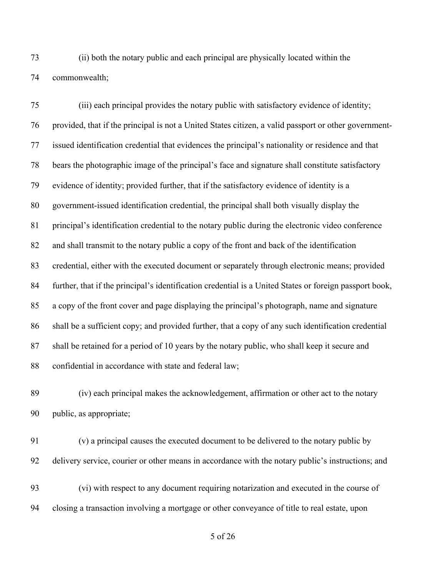(ii) both the notary public and each principal are physically located within the commonwealth;

 (iii) each principal provides the notary public with satisfactory evidence of identity; provided, that if the principal is not a United States citizen, a valid passport or other government- issued identification credential that evidences the principal's nationality or residence and that bears the photographic image of the principal's face and signature shall constitute satisfactory evidence of identity; provided further, that if the satisfactory evidence of identity is a government-issued identification credential, the principal shall both visually display the principal's identification credential to the notary public during the electronic video conference and shall transmit to the notary public a copy of the front and back of the identification credential, either with the executed document or separately through electronic means; provided further, that if the principal's identification credential is a United States or foreign passport book, a copy of the front cover and page displaying the principal's photograph, name and signature shall be a sufficient copy; and provided further, that a copy of any such identification credential shall be retained for a period of 10 years by the notary public, who shall keep it secure and 88 confidential in accordance with state and federal law;

 (iv) each principal makes the acknowledgement, affirmation or other act to the notary public, as appropriate;

 (v) a principal causes the executed document to be delivered to the notary public by delivery service, courier or other means in accordance with the notary public's instructions; and (vi) with respect to any document requiring notarization and executed in the course of closing a transaction involving a mortgage or other conveyance of title to real estate, upon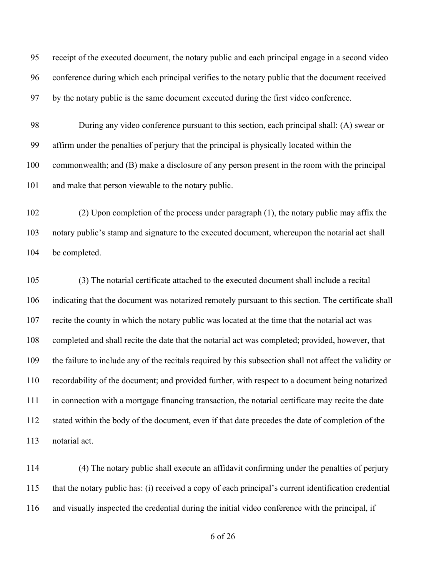receipt of the executed document, the notary public and each principal engage in a second video conference during which each principal verifies to the notary public that the document received by the notary public is the same document executed during the first video conference.

 During any video conference pursuant to this section, each principal shall: (A) swear or affirm under the penalties of perjury that the principal is physically located within the commonwealth; and (B) make a disclosure of any person present in the room with the principal and make that person viewable to the notary public.

 (2) Upon completion of the process under paragraph (1), the notary public may affix the notary public's stamp and signature to the executed document, whereupon the notarial act shall be completed.

 (3) The notarial certificate attached to the executed document shall include a recital indicating that the document was notarized remotely pursuant to this section. The certificate shall recite the county in which the notary public was located at the time that the notarial act was completed and shall recite the date that the notarial act was completed; provided, however, that the failure to include any of the recitals required by this subsection shall not affect the validity or recordability of the document; and provided further, with respect to a document being notarized in connection with a mortgage financing transaction, the notarial certificate may recite the date stated within the body of the document, even if that date precedes the date of completion of the notarial act.

 (4) The notary public shall execute an affidavit confirming under the penalties of perjury that the notary public has: (i) received a copy of each principal's current identification credential and visually inspected the credential during the initial video conference with the principal, if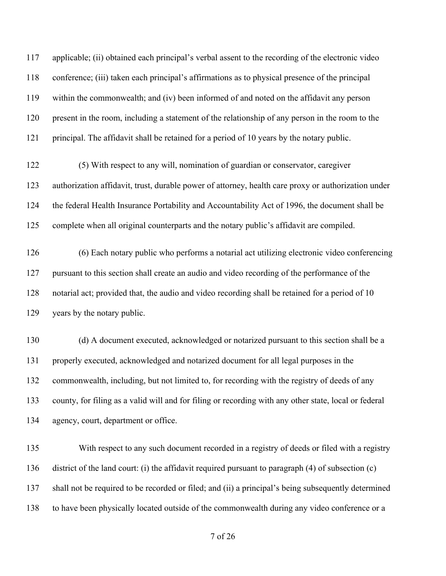applicable; (ii) obtained each principal's verbal assent to the recording of the electronic video conference; (iii) taken each principal's affirmations as to physical presence of the principal within the commonwealth; and (iv) been informed of and noted on the affidavit any person present in the room, including a statement of the relationship of any person in the room to the 121 principal. The affidavit shall be retained for a period of 10 years by the notary public.

 (5) With respect to any will, nomination of guardian or conservator, caregiver authorization affidavit, trust, durable power of attorney, health care proxy or authorization under the federal Health Insurance Portability and Accountability Act of 1996, the document shall be complete when all original counterparts and the notary public's affidavit are compiled.

 (6) Each notary public who performs a notarial act utilizing electronic video conferencing pursuant to this section shall create an audio and video recording of the performance of the notarial act; provided that, the audio and video recording shall be retained for a period of 10 years by the notary public.

 (d) A document executed, acknowledged or notarized pursuant to this section shall be a properly executed, acknowledged and notarized document for all legal purposes in the commonwealth, including, but not limited to, for recording with the registry of deeds of any county, for filing as a valid will and for filing or recording with any other state, local or federal agency, court, department or office.

 With respect to any such document recorded in a registry of deeds or filed with a registry district of the land court: (i) the affidavit required pursuant to paragraph (4) of subsection (c) shall not be required to be recorded or filed; and (ii) a principal's being subsequently determined to have been physically located outside of the commonwealth during any video conference or a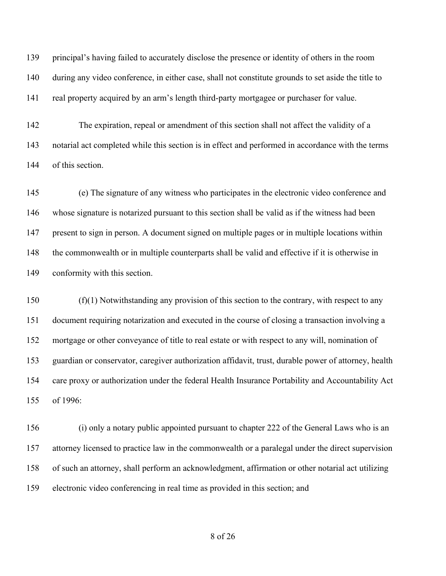principal's having failed to accurately disclose the presence or identity of others in the room during any video conference, in either case, shall not constitute grounds to set aside the title to real property acquired by an arm's length third-party mortgagee or purchaser for value.

 The expiration, repeal or amendment of this section shall not affect the validity of a notarial act completed while this section is in effect and performed in accordance with the terms of this section.

 (e) The signature of any witness who participates in the electronic video conference and whose signature is notarized pursuant to this section shall be valid as if the witness had been present to sign in person. A document signed on multiple pages or in multiple locations within the commonwealth or in multiple counterparts shall be valid and effective if it is otherwise in conformity with this section.

 (f)(1) Notwithstanding any provision of this section to the contrary, with respect to any document requiring notarization and executed in the course of closing a transaction involving a mortgage or other conveyance of title to real estate or with respect to any will, nomination of guardian or conservator, caregiver authorization affidavit, trust, durable power of attorney, health care proxy or authorization under the federal Health Insurance Portability and Accountability Act of 1996:

 (i) only a notary public appointed pursuant to chapter 222 of the General Laws who is an attorney licensed to practice law in the commonwealth or a paralegal under the direct supervision of such an attorney, shall perform an acknowledgment, affirmation or other notarial act utilizing electronic video conferencing in real time as provided in this section; and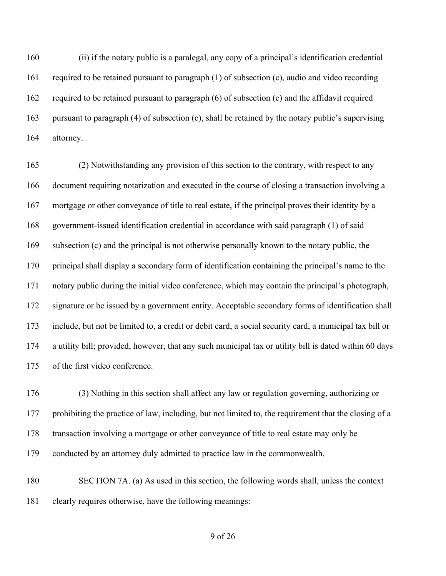(ii) if the notary public is a paralegal, any copy of a principal's identification credential required to be retained pursuant to paragraph (1) of subsection (c), audio and video recording required to be retained pursuant to paragraph (6) of subsection (c) and the affidavit required pursuant to paragraph (4) of subsection (c), shall be retained by the notary public's supervising attorney.

 (2) Notwithstanding any provision of this section to the contrary, with respect to any document requiring notarization and executed in the course of closing a transaction involving a mortgage or other conveyance of title to real estate, if the principal proves their identity by a government-issued identification credential in accordance with said paragraph (1) of said subsection (c) and the principal is not otherwise personally known to the notary public, the principal shall display a secondary form of identification containing the principal's name to the notary public during the initial video conference, which may contain the principal's photograph, signature or be issued by a government entity. Acceptable secondary forms of identification shall include, but not be limited to, a credit or debit card, a social security card, a municipal tax bill or a utility bill; provided, however, that any such municipal tax or utility bill is dated within 60 days of the first video conference.

 (3) Nothing in this section shall affect any law or regulation governing, authorizing or prohibiting the practice of law, including, but not limited to, the requirement that the closing of a transaction involving a mortgage or other conveyance of title to real estate may only be conducted by an attorney duly admitted to practice law in the commonwealth.

 SECTION 7A. (a) As used in this section, the following words shall, unless the context clearly requires otherwise, have the following meanings: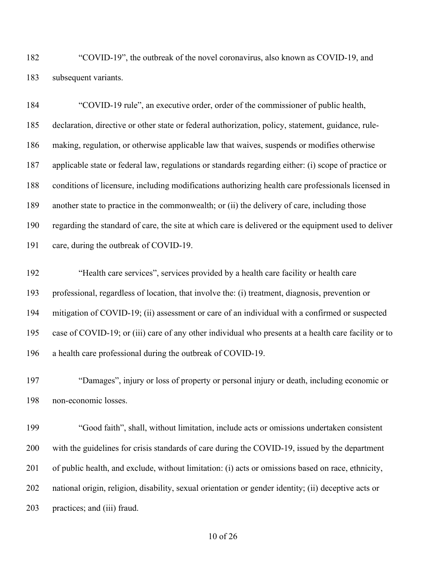"COVID-19", the outbreak of the novel coronavirus, also known as COVID-19, and subsequent variants.

 "COVID-19 rule", an executive order, order of the commissioner of public health, declaration, directive or other state or federal authorization, policy, statement, guidance, rule- making, regulation, or otherwise applicable law that waives, suspends or modifies otherwise applicable state or federal law, regulations or standards regarding either: (i) scope of practice or conditions of licensure, including modifications authorizing health care professionals licensed in another state to practice in the commonwealth; or (ii) the delivery of care, including those regarding the standard of care, the site at which care is delivered or the equipment used to deliver care, during the outbreak of COVID-19.

 "Health care services", services provided by a health care facility or health care professional, regardless of location, that involve the: (i) treatment, diagnosis, prevention or mitigation of COVID-19; (ii) assessment or care of an individual with a confirmed or suspected case of COVID-19; or (iii) care of any other individual who presents at a health care facility or to a health care professional during the outbreak of COVID-19.

 "Damages", injury or loss of property or personal injury or death, including economic or non-economic losses.

 "Good faith", shall, without limitation, include acts or omissions undertaken consistent with the guidelines for crisis standards of care during the COVID-19, issued by the department of public health, and exclude, without limitation: (i) acts or omissions based on race, ethnicity, national origin, religion, disability, sexual orientation or gender identity; (ii) deceptive acts or practices; and (iii) fraud.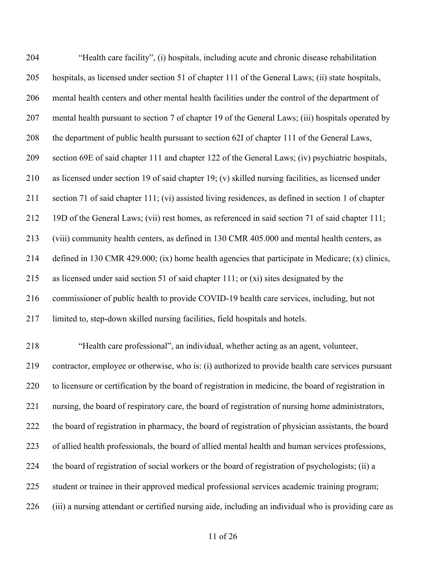| 204 | "Health care facility", (i) hospitals, including acute and chronic disease rehabilitation             |
|-----|-------------------------------------------------------------------------------------------------------|
| 205 | hospitals, as licensed under section 51 of chapter 111 of the General Laws; (ii) state hospitals,     |
| 206 | mental health centers and other mental health facilities under the control of the department of       |
| 207 | mental health pursuant to section 7 of chapter 19 of the General Laws; (iii) hospitals operated by    |
| 208 | the department of public health pursuant to section 62I of chapter 111 of the General Laws,           |
| 209 | section 69E of said chapter 111 and chapter 122 of the General Laws; (iv) psychiatric hospitals,      |
| 210 | as licensed under section 19 of said chapter 19; (v) skilled nursing facilities, as licensed under    |
| 211 | section 71 of said chapter 111; (vi) assisted living residences, as defined in section 1 of chapter   |
| 212 | 19D of the General Laws; (vii) rest homes, as referenced in said section 71 of said chapter 111;      |
| 213 | (viii) community health centers, as defined in 130 CMR 405.000 and mental health centers, as          |
| 214 | defined in 130 CMR 429.000; (ix) home health agencies that participate in Medicare; (x) clinics,      |
| 215 | as licensed under said section 51 of said chapter 111; or $(xi)$ sites designated by the              |
| 216 | commissioner of public health to provide COVID-19 health care services, including, but not            |
| 217 | limited to, step-down skilled nursing facilities, field hospitals and hotels.                         |
| 218 | "Health care professional", an individual, whether acting as an agent, volunteer,                     |
| 219 | contractor, employee or otherwise, who is: (i) authorized to provide health care services pursuant    |
| 220 | to licensure or certification by the board of registration in medicine, the board of registration in  |
| 221 | nursing, the board of respiratory care, the board of registration of nursing home administrators,     |
| 222 | the board of registration in pharmacy, the board of registration of physician assistants, the board   |
| 223 | of allied health professionals, the board of allied mental health and human services professions,     |
| 224 | the board of registration of social workers or the board of registration of psychologists; (ii) a     |
| 225 | student or trainee in their approved medical professional services academic training program;         |
| 226 | (iii) a nursing attendant or certified nursing aide, including an individual who is providing care as |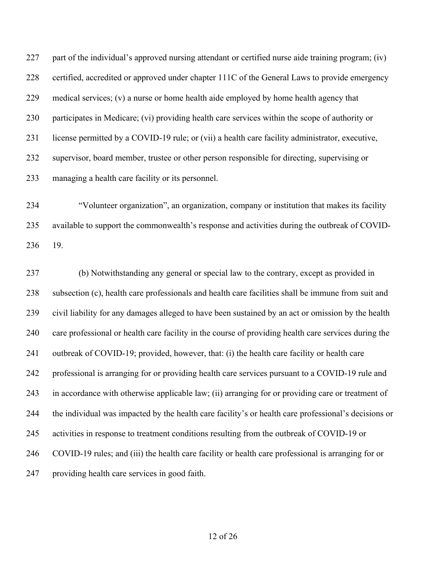part of the individual's approved nursing attendant or certified nurse aide training program; (iv) certified, accredited or approved under chapter 111C of the General Laws to provide emergency medical services; (v) a nurse or home health aide employed by home health agency that participates in Medicare; (vi) providing health care services within the scope of authority or license permitted by a COVID-19 rule; or (vii) a health care facility administrator, executive, supervisor, board member, trustee or other person responsible for directing, supervising or managing a health care facility or its personnel.

 "Volunteer organization", an organization, company or institution that makes its facility available to support the commonwealth's response and activities during the outbreak of COVID-19.

 (b) Notwithstanding any general or special law to the contrary, except as provided in subsection (c), health care professionals and health care facilities shall be immune from suit and civil liability for any damages alleged to have been sustained by an act or omission by the health care professional or health care facility in the course of providing health care services during the outbreak of COVID-19; provided, however, that: (i) the health care facility or health care professional is arranging for or providing health care services pursuant to a COVID-19 rule and in accordance with otherwise applicable law; (ii) arranging for or providing care or treatment of the individual was impacted by the health care facility's or health care professional's decisions or activities in response to treatment conditions resulting from the outbreak of COVID-19 or COVID-19 rules; and (iii) the health care facility or health care professional is arranging for or providing health care services in good faith.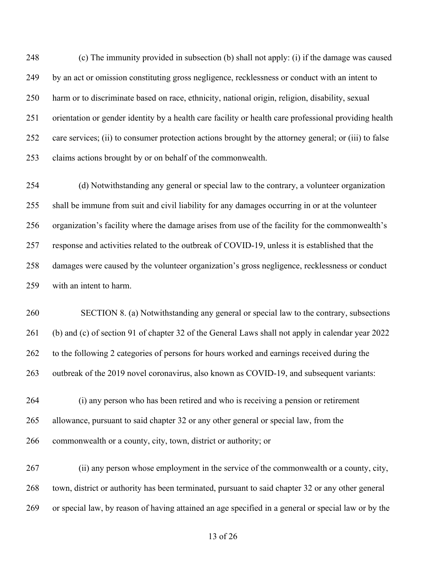(c) The immunity provided in subsection (b) shall not apply: (i) if the damage was caused by an act or omission constituting gross negligence, recklessness or conduct with an intent to harm or to discriminate based on race, ethnicity, national origin, religion, disability, sexual orientation or gender identity by a health care facility or health care professional providing health care services; (ii) to consumer protection actions brought by the attorney general; or (iii) to false claims actions brought by or on behalf of the commonwealth.

 (d) Notwithstanding any general or special law to the contrary, a volunteer organization shall be immune from suit and civil liability for any damages occurring in or at the volunteer organization's facility where the damage arises from use of the facility for the commonwealth's response and activities related to the outbreak of COVID-19, unless it is established that the damages were caused by the volunteer organization's gross negligence, recklessness or conduct with an intent to harm.

 SECTION 8. (a) Notwithstanding any general or special law to the contrary, subsections (b) and (c) of section 91 of chapter 32 of the General Laws shall not apply in calendar year 2022 to the following 2 categories of persons for hours worked and earnings received during the 263 outbreak of the 2019 novel coronavirus, also known as COVID-19, and subsequent variants:

 (i) any person who has been retired and who is receiving a pension or retirement allowance, pursuant to said chapter 32 or any other general or special law, from the commonwealth or a county, city, town, district or authority; or

 (ii) any person whose employment in the service of the commonwealth or a county, city, town, district or authority has been terminated, pursuant to said chapter 32 or any other general or special law, by reason of having attained an age specified in a general or special law or by the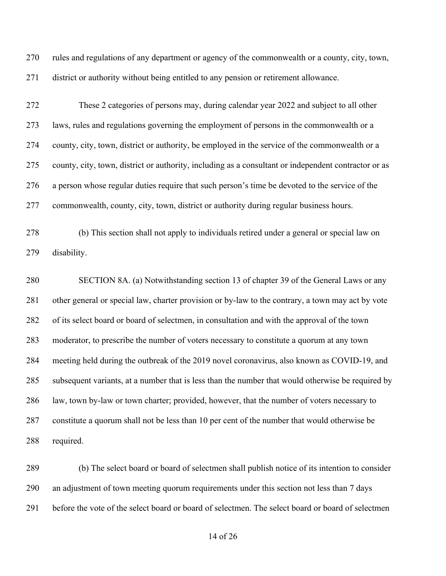rules and regulations of any department or agency of the commonwealth or a county, city, town, district or authority without being entitled to any pension or retirement allowance.

 These 2 categories of persons may, during calendar year 2022 and subject to all other laws, rules and regulations governing the employment of persons in the commonwealth or a county, city, town, district or authority, be employed in the service of the commonwealth or a county, city, town, district or authority, including as a consultant or independent contractor or as a person whose regular duties require that such person's time be devoted to the service of the commonwealth, county, city, town, district or authority during regular business hours.

 (b) This section shall not apply to individuals retired under a general or special law on disability.

 SECTION 8A. (a) Notwithstanding section 13 of chapter 39 of the General Laws or any other general or special law, charter provision or by-law to the contrary, a town may act by vote of its select board or board of selectmen, in consultation and with the approval of the town moderator, to prescribe the number of voters necessary to constitute a quorum at any town meeting held during the outbreak of the 2019 novel coronavirus, also known as COVID-19, and subsequent variants, at a number that is less than the number that would otherwise be required by law, town by-law or town charter; provided, however, that the number of voters necessary to constitute a quorum shall not be less than 10 per cent of the number that would otherwise be required.

 (b) The select board or board of selectmen shall publish notice of its intention to consider an adjustment of town meeting quorum requirements under this section not less than 7 days before the vote of the select board or board of selectmen. The select board or board of selectmen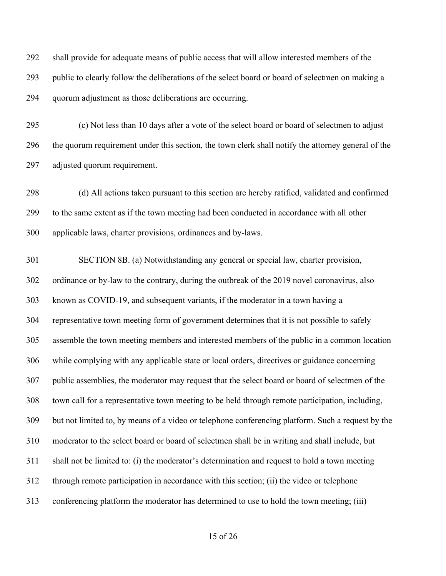shall provide for adequate means of public access that will allow interested members of the public to clearly follow the deliberations of the select board or board of selectmen on making a quorum adjustment as those deliberations are occurring.

 (c) Not less than 10 days after a vote of the select board or board of selectmen to adjust the quorum requirement under this section, the town clerk shall notify the attorney general of the adjusted quorum requirement.

 (d) All actions taken pursuant to this section are hereby ratified, validated and confirmed to the same extent as if the town meeting had been conducted in accordance with all other applicable laws, charter provisions, ordinances and by-laws.

 SECTION 8B. (a) Notwithstanding any general or special law, charter provision, ordinance or by-law to the contrary, during the outbreak of the 2019 novel coronavirus, also known as COVID-19, and subsequent variants, if the moderator in a town having a representative town meeting form of government determines that it is not possible to safely assemble the town meeting members and interested members of the public in a common location while complying with any applicable state or local orders, directives or guidance concerning public assemblies, the moderator may request that the select board or board of selectmen of the town call for a representative town meeting to be held through remote participation, including, but not limited to, by means of a video or telephone conferencing platform. Such a request by the moderator to the select board or board of selectmen shall be in writing and shall include, but shall not be limited to: (i) the moderator's determination and request to hold a town meeting through remote participation in accordance with this section; (ii) the video or telephone conferencing platform the moderator has determined to use to hold the town meeting; (iii)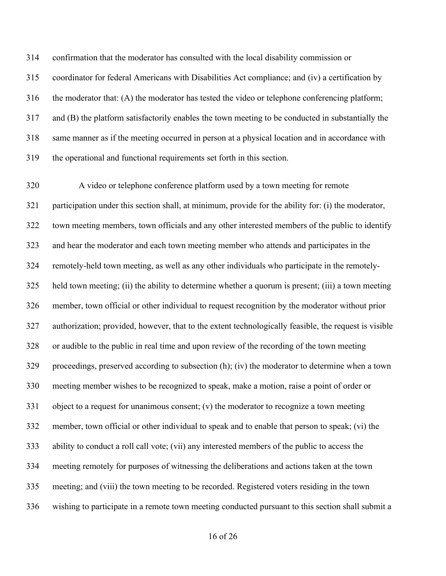confirmation that the moderator has consulted with the local disability commission or coordinator for federal Americans with Disabilities Act compliance; and (iv) a certification by 316 the moderator that: (A) the moderator has tested the video or telephone conferencing platform; and (B) the platform satisfactorily enables the town meeting to be conducted in substantially the same manner as if the meeting occurred in person at a physical location and in accordance with the operational and functional requirements set forth in this section.

 A video or telephone conference platform used by a town meeting for remote participation under this section shall, at minimum, provide for the ability for: (i) the moderator, town meeting members, town officials and any other interested members of the public to identify and hear the moderator and each town meeting member who attends and participates in the remotely-held town meeting, as well as any other individuals who participate in the remotely- held town meeting; (ii) the ability to determine whether a quorum is present; (iii) a town meeting member, town official or other individual to request recognition by the moderator without prior authorization; provided, however, that to the extent technologically feasible, the request is visible or audible to the public in real time and upon review of the recording of the town meeting proceedings, preserved according to subsection (h); (iv) the moderator to determine when a town meeting member wishes to be recognized to speak, make a motion, raise a point of order or object to a request for unanimous consent; (v) the moderator to recognize a town meeting member, town official or other individual to speak and to enable that person to speak; (vi) the ability to conduct a roll call vote; (vii) any interested members of the public to access the meeting remotely for purposes of witnessing the deliberations and actions taken at the town meeting; and (viii) the town meeting to be recorded. Registered voters residing in the town wishing to participate in a remote town meeting conducted pursuant to this section shall submit a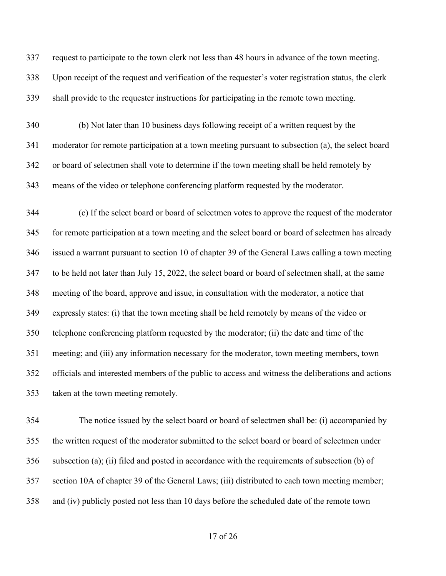request to participate to the town clerk not less than 48 hours in advance of the town meeting.

 Upon receipt of the request and verification of the requester's voter registration status, the clerk shall provide to the requester instructions for participating in the remote town meeting.

 (b) Not later than 10 business days following receipt of a written request by the moderator for remote participation at a town meeting pursuant to subsection (a), the select board or board of selectmen shall vote to determine if the town meeting shall be held remotely by means of the video or telephone conferencing platform requested by the moderator.

 (c) If the select board or board of selectmen votes to approve the request of the moderator for remote participation at a town meeting and the select board or board of selectmen has already issued a warrant pursuant to section 10 of chapter 39 of the General Laws calling a town meeting to be held not later than July 15, 2022, the select board or board of selectmen shall, at the same meeting of the board, approve and issue, in consultation with the moderator, a notice that expressly states: (i) that the town meeting shall be held remotely by means of the video or telephone conferencing platform requested by the moderator; (ii) the date and time of the meeting; and (iii) any information necessary for the moderator, town meeting members, town officials and interested members of the public to access and witness the deliberations and actions taken at the town meeting remotely.

 The notice issued by the select board or board of selectmen shall be: (i) accompanied by the written request of the moderator submitted to the select board or board of selectmen under subsection (a); (ii) filed and posted in accordance with the requirements of subsection (b) of section 10A of chapter 39 of the General Laws; (iii) distributed to each town meeting member; and (iv) publicly posted not less than 10 days before the scheduled date of the remote town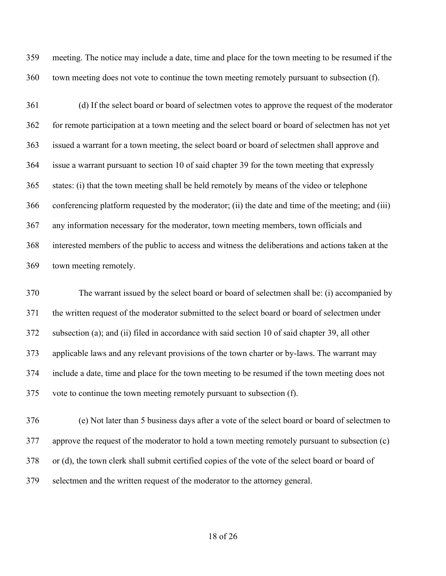meeting. The notice may include a date, time and place for the town meeting to be resumed if the town meeting does not vote to continue the town meeting remotely pursuant to subsection (f).

 (d) If the select board or board of selectmen votes to approve the request of the moderator for remote participation at a town meeting and the select board or board of selectmen has not yet issued a warrant for a town meeting, the select board or board of selectmen shall approve and issue a warrant pursuant to section 10 of said chapter 39 for the town meeting that expressly states: (i) that the town meeting shall be held remotely by means of the video or telephone conferencing platform requested by the moderator; (ii) the date and time of the meeting; and (iii) any information necessary for the moderator, town meeting members, town officials and interested members of the public to access and witness the deliberations and actions taken at the town meeting remotely.

 The warrant issued by the select board or board of selectmen shall be: (i) accompanied by the written request of the moderator submitted to the select board or board of selectmen under subsection (a); and (ii) filed in accordance with said section 10 of said chapter 39, all other applicable laws and any relevant provisions of the town charter or by-laws. The warrant may include a date, time and place for the town meeting to be resumed if the town meeting does not vote to continue the town meeting remotely pursuant to subsection (f).

 (e) Not later than 5 business days after a vote of the select board or board of selectmen to approve the request of the moderator to hold a town meeting remotely pursuant to subsection (c) or (d), the town clerk shall submit certified copies of the vote of the select board or board of selectmen and the written request of the moderator to the attorney general.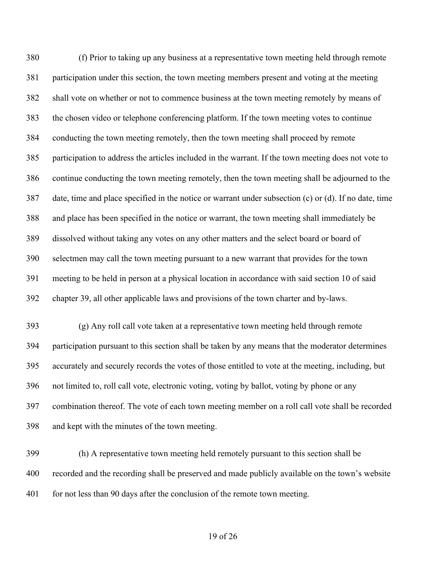(f) Prior to taking up any business at a representative town meeting held through remote participation under this section, the town meeting members present and voting at the meeting shall vote on whether or not to commence business at the town meeting remotely by means of the chosen video or telephone conferencing platform. If the town meeting votes to continue conducting the town meeting remotely, then the town meeting shall proceed by remote participation to address the articles included in the warrant. If the town meeting does not vote to continue conducting the town meeting remotely, then the town meeting shall be adjourned to the date, time and place specified in the notice or warrant under subsection (c) or (d). If no date, time and place has been specified in the notice or warrant, the town meeting shall immediately be dissolved without taking any votes on any other matters and the select board or board of selectmen may call the town meeting pursuant to a new warrant that provides for the town meeting to be held in person at a physical location in accordance with said section 10 of said chapter 39, all other applicable laws and provisions of the town charter and by-laws.

 (g) Any roll call vote taken at a representative town meeting held through remote participation pursuant to this section shall be taken by any means that the moderator determines accurately and securely records the votes of those entitled to vote at the meeting, including, but not limited to, roll call vote, electronic voting, voting by ballot, voting by phone or any combination thereof. The vote of each town meeting member on a roll call vote shall be recorded and kept with the minutes of the town meeting.

 (h) A representative town meeting held remotely pursuant to this section shall be recorded and the recording shall be preserved and made publicly available on the town's website 401 for not less than 90 days after the conclusion of the remote town meeting.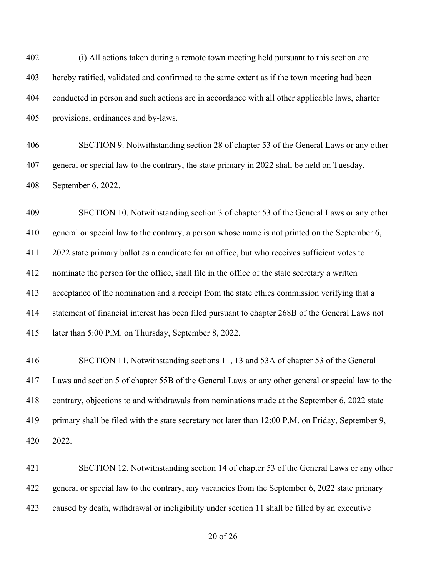(i) All actions taken during a remote town meeting held pursuant to this section are hereby ratified, validated and confirmed to the same extent as if the town meeting had been conducted in person and such actions are in accordance with all other applicable laws, charter provisions, ordinances and by-laws.

 SECTION 9. Notwithstanding section 28 of chapter 53 of the General Laws or any other general or special law to the contrary, the state primary in 2022 shall be held on Tuesday, September 6, 2022.

 SECTION 10. Notwithstanding section 3 of chapter 53 of the General Laws or any other general or special law to the contrary, a person whose name is not printed on the September 6, 2022 state primary ballot as a candidate for an office, but who receives sufficient votes to nominate the person for the office, shall file in the office of the state secretary a written acceptance of the nomination and a receipt from the state ethics commission verifying that a statement of financial interest has been filed pursuant to chapter 268B of the General Laws not later than 5:00 P.M. on Thursday, September 8, 2022.

 SECTION 11. Notwithstanding sections 11, 13 and 53A of chapter 53 of the General Laws and section 5 of chapter 55B of the General Laws or any other general or special law to the contrary, objections to and withdrawals from nominations made at the September 6, 2022 state primary shall be filed with the state secretary not later than 12:00 P.M. on Friday, September 9, 2022.

 SECTION 12. Notwithstanding section 14 of chapter 53 of the General Laws or any other 422 general or special law to the contrary, any vacancies from the September 6, 2022 state primary caused by death, withdrawal or ineligibility under section 11 shall be filled by an executive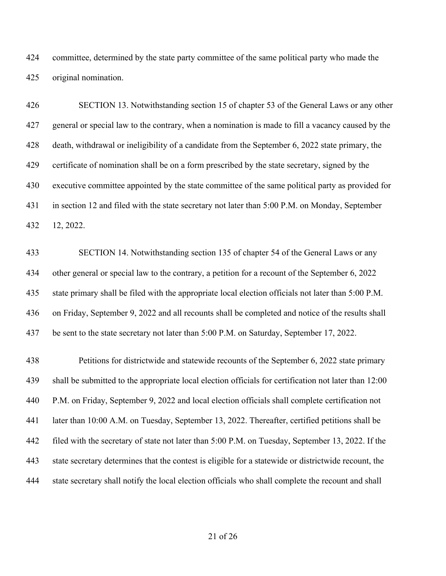committee, determined by the state party committee of the same political party who made the original nomination.

 SECTION 13. Notwithstanding section 15 of chapter 53 of the General Laws or any other general or special law to the contrary, when a nomination is made to fill a vacancy caused by the death, withdrawal or ineligibility of a candidate from the September 6, 2022 state primary, the certificate of nomination shall be on a form prescribed by the state secretary, signed by the executive committee appointed by the state committee of the same political party as provided for in section 12 and filed with the state secretary not later than 5:00 P.M. on Monday, September 12, 2022.

 SECTION 14. Notwithstanding section 135 of chapter 54 of the General Laws or any other general or special law to the contrary, a petition for a recount of the September 6, 2022 state primary shall be filed with the appropriate local election officials not later than 5:00 P.M. on Friday, September 9, 2022 and all recounts shall be completed and notice of the results shall be sent to the state secretary not later than 5:00 P.M. on Saturday, September 17, 2022.

 Petitions for districtwide and statewide recounts of the September 6, 2022 state primary shall be submitted to the appropriate local election officials for certification not later than 12:00 P.M. on Friday, September 9, 2022 and local election officials shall complete certification not later than 10:00 A.M. on Tuesday, September 13, 2022. Thereafter, certified petitions shall be filed with the secretary of state not later than 5:00 P.M. on Tuesday, September 13, 2022. If the state secretary determines that the contest is eligible for a statewide or districtwide recount, the state secretary shall notify the local election officials who shall complete the recount and shall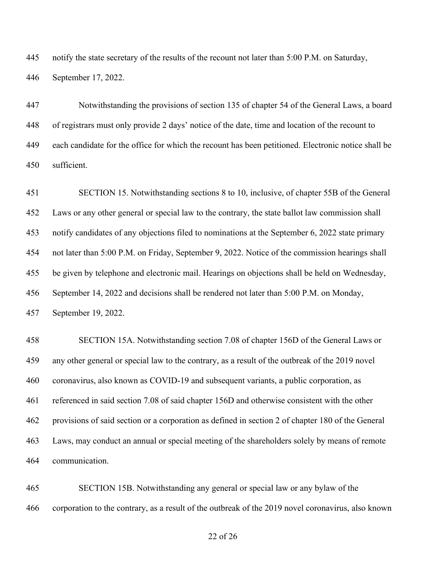notify the state secretary of the results of the recount not later than 5:00 P.M. on Saturday, September 17, 2022.

 Notwithstanding the provisions of section 135 of chapter 54 of the General Laws, a board of registrars must only provide 2 days' notice of the date, time and location of the recount to each candidate for the office for which the recount has been petitioned. Electronic notice shall be sufficient.

 SECTION 15. Notwithstanding sections 8 to 10, inclusive, of chapter 55B of the General Laws or any other general or special law to the contrary, the state ballot law commission shall notify candidates of any objections filed to nominations at the September 6, 2022 state primary not later than 5:00 P.M. on Friday, September 9, 2022. Notice of the commission hearings shall be given by telephone and electronic mail. Hearings on objections shall be held on Wednesday, September 14, 2022 and decisions shall be rendered not later than 5:00 P.M. on Monday, September 19, 2022.

 SECTION 15A. Notwithstanding section 7.08 of chapter 156D of the General Laws or any other general or special law to the contrary, as a result of the outbreak of the 2019 novel coronavirus, also known as COVID-19 and subsequent variants, a public corporation, as referenced in said section 7.08 of said chapter 156D and otherwise consistent with the other provisions of said section or a corporation as defined in section 2 of chapter 180 of the General Laws, may conduct an annual or special meeting of the shareholders solely by means of remote communication.

 SECTION 15B. Notwithstanding any general or special law or any bylaw of the corporation to the contrary, as a result of the outbreak of the 2019 novel coronavirus, also known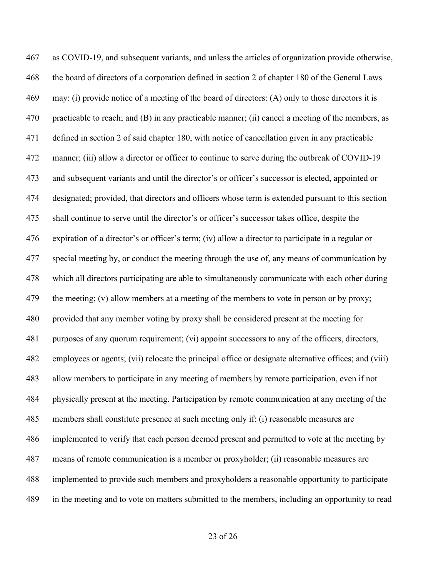as COVID-19, and subsequent variants, and unless the articles of organization provide otherwise, the board of directors of a corporation defined in section 2 of chapter 180 of the General Laws may: (i) provide notice of a meeting of the board of directors: (A) only to those directors it is 470 practicable to reach; and (B) in any practicable manner; (ii) cancel a meeting of the members, as defined in section 2 of said chapter 180, with notice of cancellation given in any practicable manner; (iii) allow a director or officer to continue to serve during the outbreak of COVID-19 and subsequent variants and until the director's or officer's successor is elected, appointed or designated; provided, that directors and officers whose term is extended pursuant to this section shall continue to serve until the director's or officer's successor takes office, despite the expiration of a director's or officer's term; (iv) allow a director to participate in a regular or special meeting by, or conduct the meeting through the use of, any means of communication by which all directors participating are able to simultaneously communicate with each other during 479 the meeting; (v) allow members at a meeting of the members to vote in person or by proxy; provided that any member voting by proxy shall be considered present at the meeting for purposes of any quorum requirement; (vi) appoint successors to any of the officers, directors, employees or agents; (vii) relocate the principal office or designate alternative offices; and (viii) allow members to participate in any meeting of members by remote participation, even if not physically present at the meeting. Participation by remote communication at any meeting of the members shall constitute presence at such meeting only if: (i) reasonable measures are implemented to verify that each person deemed present and permitted to vote at the meeting by means of remote communication is a member or proxyholder; (ii) reasonable measures are implemented to provide such members and proxyholders a reasonable opportunity to participate in the meeting and to vote on matters submitted to the members, including an opportunity to read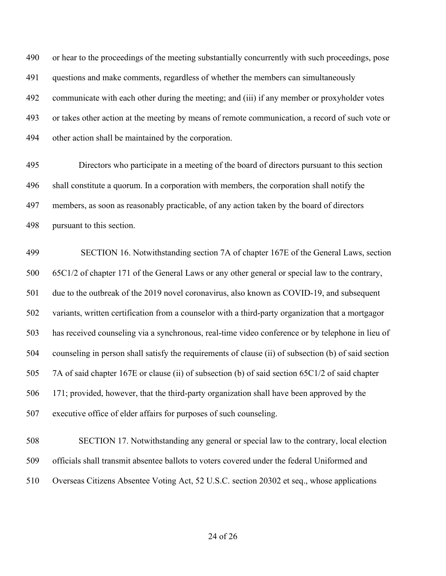or hear to the proceedings of the meeting substantially concurrently with such proceedings, pose questions and make comments, regardless of whether the members can simultaneously communicate with each other during the meeting; and (iii) if any member or proxyholder votes or takes other action at the meeting by means of remote communication, a record of such vote or other action shall be maintained by the corporation.

 Directors who participate in a meeting of the board of directors pursuant to this section shall constitute a quorum. In a corporation with members, the corporation shall notify the members, as soon as reasonably practicable, of any action taken by the board of directors pursuant to this section.

 SECTION 16. Notwithstanding section 7A of chapter 167E of the General Laws, section 65C1/2 of chapter 171 of the General Laws or any other general or special law to the contrary, due to the outbreak of the 2019 novel coronavirus, also known as COVID-19, and subsequent variants, written certification from a counselor with a third-party organization that a mortgagor has received counseling via a synchronous, real-time video conference or by telephone in lieu of counseling in person shall satisfy the requirements of clause (ii) of subsection (b) of said section 7A of said chapter 167E or clause (ii) of subsection (b) of said section 65C1/2 of said chapter 171; provided, however, that the third-party organization shall have been approved by the executive office of elder affairs for purposes of such counseling.

 SECTION 17. Notwithstanding any general or special law to the contrary, local election officials shall transmit absentee ballots to voters covered under the federal Uniformed and Overseas Citizens Absentee Voting Act, 52 U.S.C. section 20302 et seq., whose applications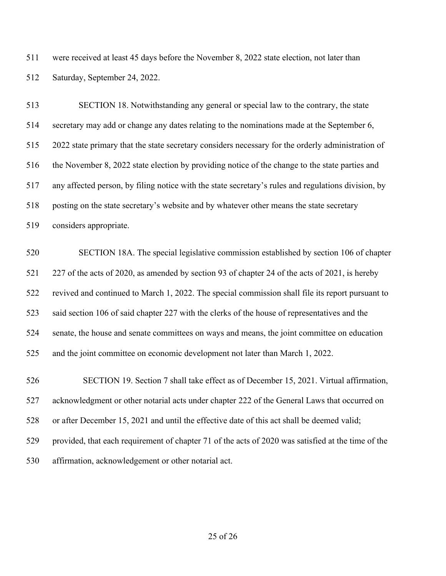were received at least 45 days before the November 8, 2022 state election, not later than Saturday, September 24, 2022.

 SECTION 18. Notwithstanding any general or special law to the contrary, the state secretary may add or change any dates relating to the nominations made at the September 6, 2022 state primary that the state secretary considers necessary for the orderly administration of the November 8, 2022 state election by providing notice of the change to the state parties and any affected person, by filing notice with the state secretary's rules and regulations division, by posting on the state secretary's website and by whatever other means the state secretary considers appropriate.

 SECTION 18A. The special legislative commission established by section 106 of chapter 227 of the acts of 2020, as amended by section 93 of chapter 24 of the acts of 2021, is hereby revived and continued to March 1, 2022. The special commission shall file its report pursuant to said section 106 of said chapter 227 with the clerks of the house of representatives and the senate, the house and senate committees on ways and means, the joint committee on education and the joint committee on economic development not later than March 1, 2022.

526 SECTION 19. Section 7 shall take effect as of December 15, 2021. Virtual affirmation, acknowledgment or other notarial acts under chapter 222 of the General Laws that occurred on or after December 15, 2021 and until the effective date of this act shall be deemed valid; provided, that each requirement of chapter 71 of the acts of 2020 was satisfied at the time of the affirmation, acknowledgement or other notarial act.